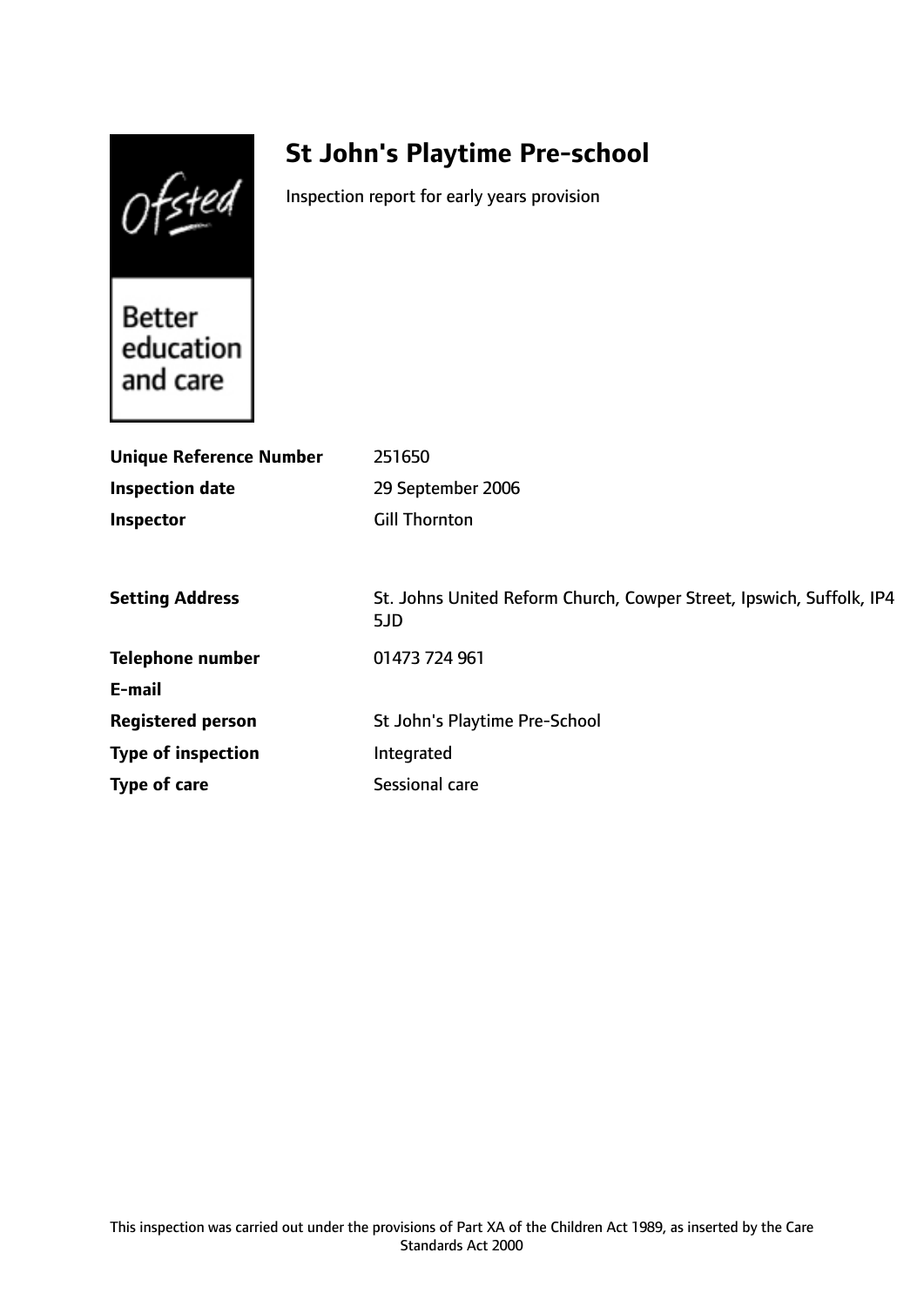Ofsted

# **St John's Playtime Pre-school**

Inspection report for early years provision

**Better** education and care

| <b>Unique Reference Number</b> | 251650                                                                      |
|--------------------------------|-----------------------------------------------------------------------------|
| <b>Inspection date</b>         | 29 September 2006                                                           |
| Inspector                      | <b>Gill Thornton</b>                                                        |
|                                |                                                                             |
| <b>Setting Address</b>         | St. Johns United Reform Church, Cowper Street, Ipswich, Suffolk, IP4<br>5JD |
| <b>Telephone number</b>        | 01473 724 961                                                               |
| E-mail                         |                                                                             |
| <b>Registered person</b>       | St John's Playtime Pre-School                                               |
| <b>Type of inspection</b>      | Integrated                                                                  |
| Type of care                   | Sessional care                                                              |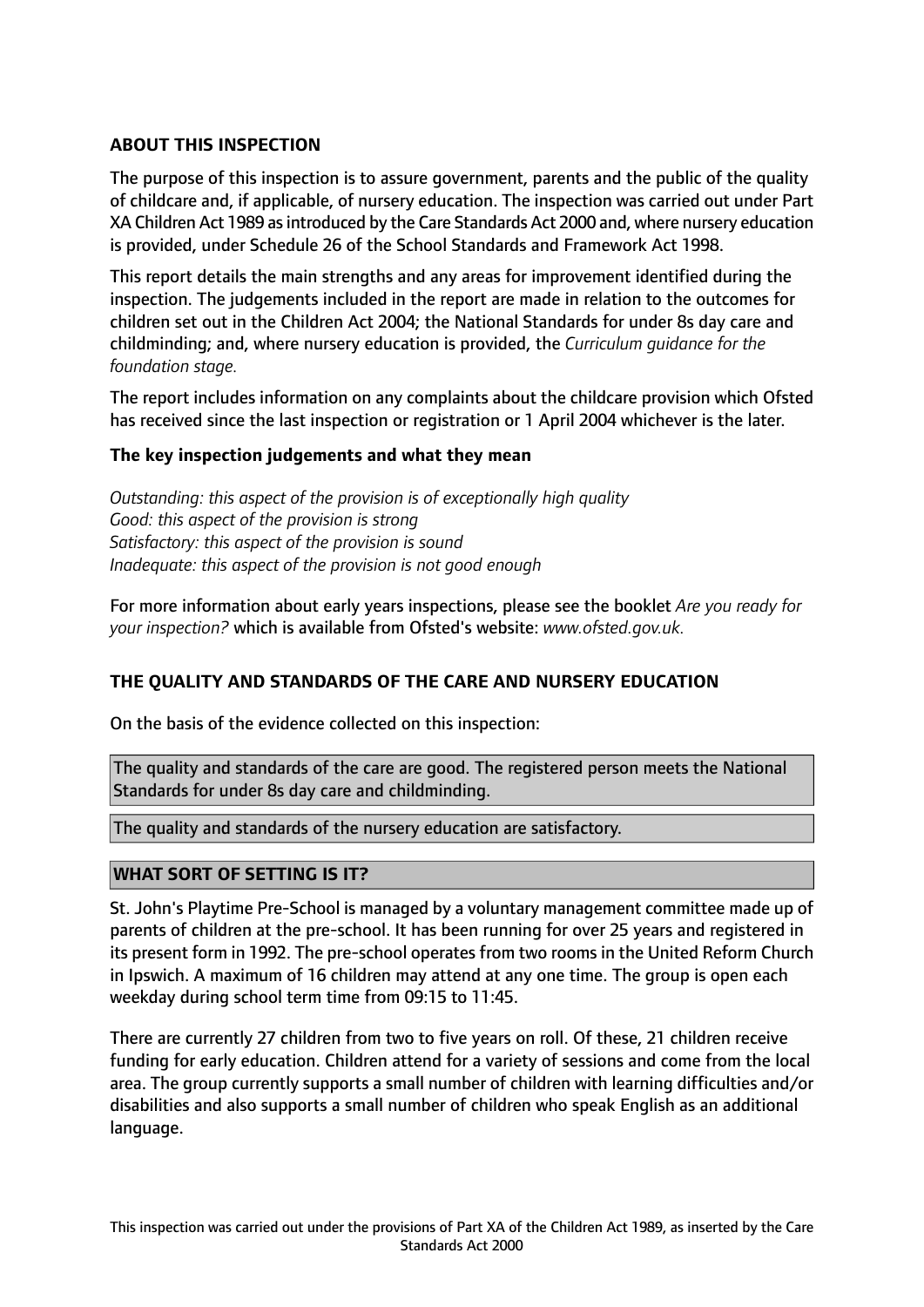# **ABOUT THIS INSPECTION**

The purpose of this inspection is to assure government, parents and the public of the quality of childcare and, if applicable, of nursery education. The inspection was carried out under Part XA Children Act 1989 asintroduced by the Care Standards Act 2000 and, where nursery education is provided, under Schedule 26 of the School Standards and Framework Act 1998.

This report details the main strengths and any areas for improvement identified during the inspection. The judgements included in the report are made in relation to the outcomes for children set out in the Children Act 2004; the National Standards for under 8s day care and childminding; and, where nursery education is provided, the *Curriculum guidance for the foundation stage.*

The report includes information on any complaints about the childcare provision which Ofsted has received since the last inspection or registration or 1 April 2004 whichever is the later.

# **The key inspection judgements and what they mean**

*Outstanding: this aspect of the provision is of exceptionally high quality Good: this aspect of the provision is strong Satisfactory: this aspect of the provision is sound Inadequate: this aspect of the provision is not good enough*

For more information about early years inspections, please see the booklet *Are you ready for your inspection?* which is available from Ofsted's website: *www.ofsted.gov.uk.*

# **THE QUALITY AND STANDARDS OF THE CARE AND NURSERY EDUCATION**

On the basis of the evidence collected on this inspection:

The quality and standards of the care are good. The registered person meets the National Standards for under 8s day care and childminding.

The quality and standards of the nursery education are satisfactory.

# **WHAT SORT OF SETTING IS IT?**

St. John's Playtime Pre-School is managed by a voluntary management committee made up of parents of children at the pre-school. It has been running for over 25 years and registered in its present form in 1992. The pre-school operates from two rooms in the United Reform Church in Ipswich. A maximum of 16 children may attend at any one time. The group is open each weekday during school term time from 09:15 to 11:45.

There are currently 27 children from two to five years on roll. Of these, 21 children receive funding for early education. Children attend for a variety of sessions and come from the local area. The group currently supports a small number of children with learning difficulties and/or disabilities and also supports a small number of children who speak English as an additional language.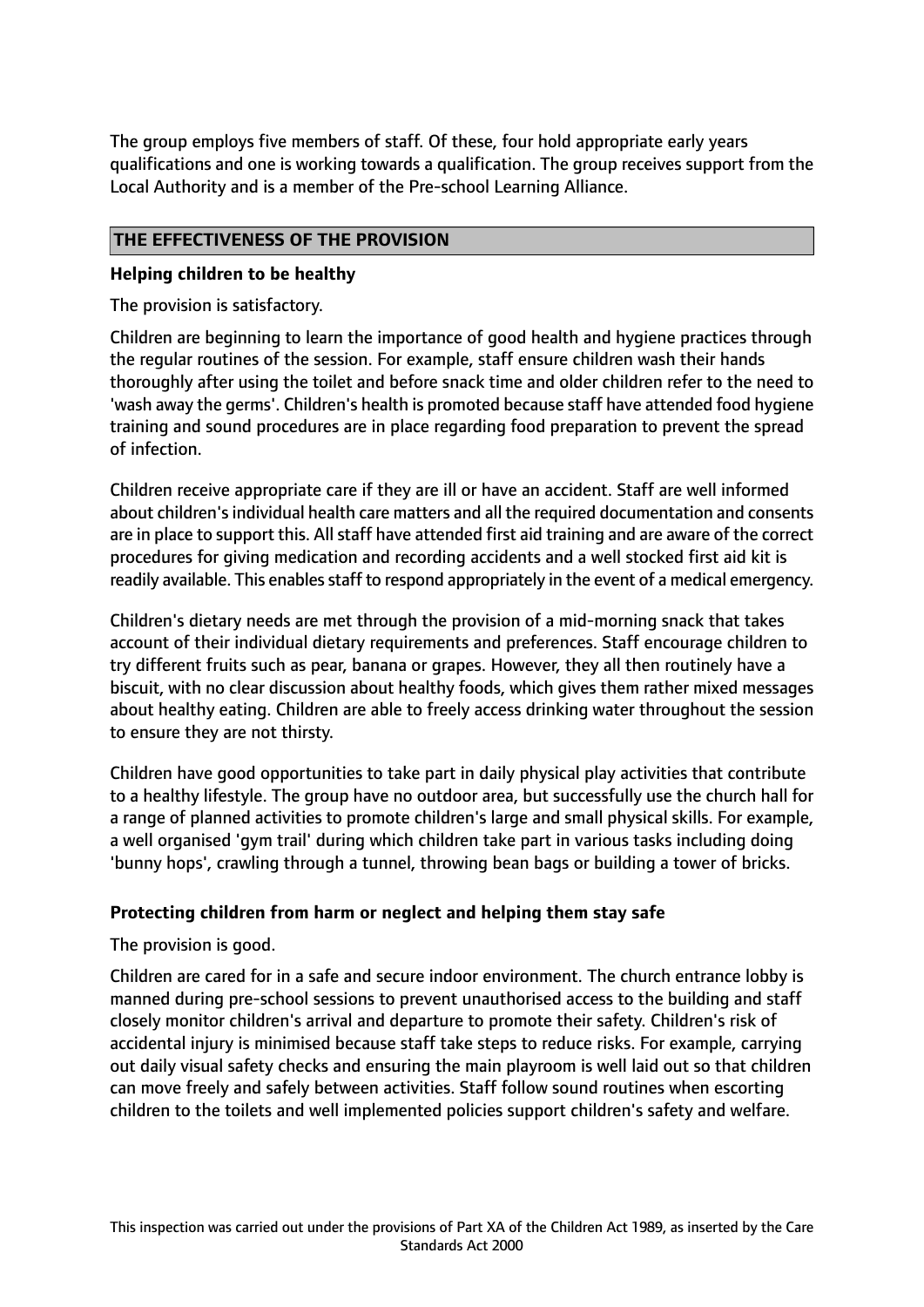The group employs five members of staff. Of these, four hold appropriate early years qualifications and one is working towards a qualification. The group receives support from the Local Authority and is a member of the Pre-school Learning Alliance.

# **THE EFFECTIVENESS OF THE PROVISION**

# **Helping children to be healthy**

The provision is satisfactory.

Children are beginning to learn the importance of good health and hygiene practices through the regular routines of the session. For example, staff ensure children wash their hands thoroughly after using the toilet and before snack time and older children refer to the need to 'wash away the germs'. Children's health is promoted because staff have attended food hygiene training and sound procedures are in place regarding food preparation to prevent the spread of infection.

Children receive appropriate care if they are ill or have an accident. Staff are well informed about children's individual health care matters and all the required documentation and consents are in place to support this. All staff have attended first aid training and are aware of the correct procedures for giving medication and recording accidents and a well stocked first aid kit is readily available. This enables staff to respond appropriately in the event of a medical emergency.

Children's dietary needs are met through the provision of a mid-morning snack that takes account of their individual dietary requirements and preferences. Staff encourage children to try different fruits such as pear, banana or grapes. However, they all then routinely have a biscuit, with no clear discussion about healthy foods, which gives them rather mixed messages about healthy eating. Children are able to freely access drinking water throughout the session to ensure they are not thirsty.

Children have good opportunities to take part in daily physical play activities that contribute to a healthy lifestyle. The group have no outdoor area, but successfully use the church hall for a range of planned activities to promote children's large and small physical skills. For example, a well organised 'gym trail' during which children take part in various tasks including doing 'bunny hops', crawling through a tunnel, throwing bean bags or building a tower of bricks.

# **Protecting children from harm or neglect and helping them stay safe**

The provision is good.

Children are cared for in a safe and secure indoor environment. The church entrance lobby is manned during pre-school sessions to prevent unauthorised access to the building and staff closely monitor children's arrival and departure to promote their safety. Children's risk of accidental injury is minimised because staff take steps to reduce risks. For example, carrying out daily visual safety checks and ensuring the main playroom is well laid out so that children can move freely and safely between activities. Staff follow sound routines when escorting children to the toilets and well implemented policies support children's safety and welfare.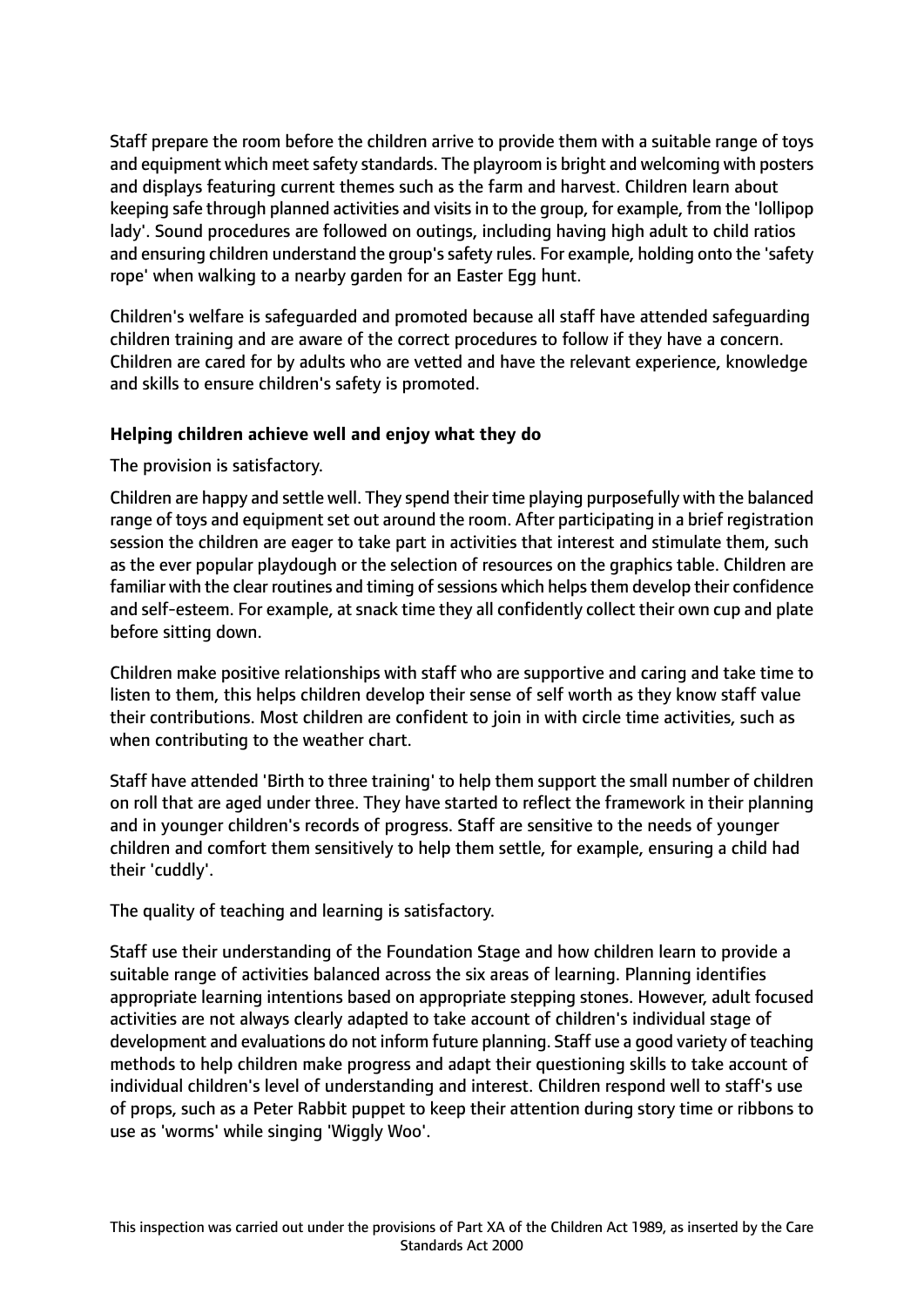Staff prepare the room before the children arrive to provide them with a suitable range of toys and equipment which meet safety standards. The playroom is bright and welcoming with posters and displays featuring current themes such as the farm and harvest. Children learn about keeping safe through planned activities and visitsin to the group, for example, from the 'lollipop lady'. Sound procedures are followed on outings, including having high adult to child ratios and ensuring children understand the group's safety rules. For example, holding onto the 'safety rope' when walking to a nearby garden for an Easter Egg hunt.

Children's welfare is safeguarded and promoted because all staff have attended safeguarding children training and are aware of the correct procedures to follow if they have a concern. Children are cared for by adults who are vetted and have the relevant experience, knowledge and skills to ensure children's safety is promoted.

# **Helping children achieve well and enjoy what they do**

The provision is satisfactory.

Children are happy and settle well. They spend their time playing purposefully with the balanced range of toys and equipment set out around the room. After participating in a brief registration session the children are eager to take part in activities that interest and stimulate them, such as the ever popular playdough or the selection of resources on the graphics table. Children are familiar with the clear routines and timing of sessions which helps them develop their confidence and self-esteem. For example, at snack time they all confidently collect their own cup and plate before sitting down.

Children make positive relationships with staff who are supportive and caring and take time to listen to them, this helps children develop their sense of self worth as they know staff value their contributions. Most children are confident to join in with circle time activities, such as when contributing to the weather chart.

Staff have attended 'Birth to three training' to help them support the small number of children on roll that are aged under three. They have started to reflect the framework in their planning and in younger children's records of progress. Staff are sensitive to the needs of younger children and comfort them sensitively to help them settle, for example, ensuring a child had their 'cuddly'.

The quality of teaching and learning is satisfactory.

Staff use their understanding of the Foundation Stage and how children learn to provide a suitable range of activities balanced across the six areas of learning. Planning identifies appropriate learning intentions based on appropriate stepping stones. However, adult focused activities are not always clearly adapted to take account of children's individual stage of development and evaluations do not inform future planning. Staff use a good variety of teaching methods to help children make progress and adapt their questioning skills to take account of individual children's level of understanding and interest. Children respond well to staff's use of props, such as a Peter Rabbit puppet to keep their attention during story time or ribbons to use as 'worms' while singing 'Wiggly Woo'.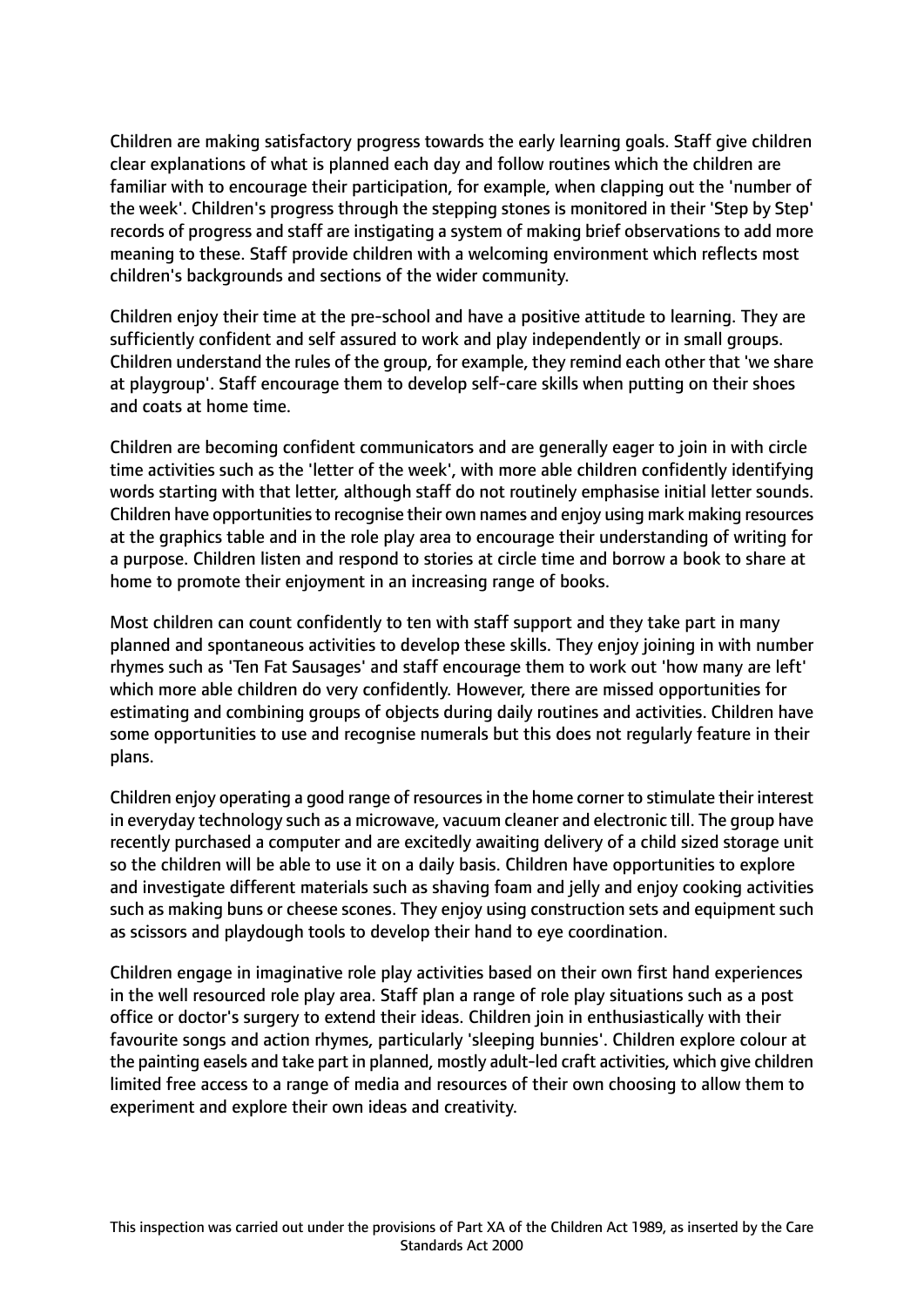Children are making satisfactory progress towards the early learning goals. Staff give children clear explanations of what is planned each day and follow routines which the children are familiar with to encourage their participation, for example, when clapping out the 'number of the week'. Children's progress through the stepping stones is monitored in their 'Step by Step' records of progress and staff are instigating a system of making brief observations to add more meaning to these. Staff provide children with a welcoming environment which reflects most children's backgrounds and sections of the wider community.

Children enjoy their time at the pre-school and have a positive attitude to learning. They are sufficiently confident and self assured to work and play independently or in small groups. Children understand the rules of the group, for example, they remind each other that 'we share at playgroup'. Staff encourage them to develop self-care skills when putting on their shoes and coats at home time.

Children are becoming confident communicators and are generally eager to join in with circle time activities such as the 'letter of the week', with more able children confidently identifying words starting with that letter, although staff do not routinely emphasise initial letter sounds. Children have opportunities to recognise their own names and enjoy using mark making resources at the graphics table and in the role play area to encourage their understanding of writing for a purpose. Children listen and respond to stories at circle time and borrow a book to share at home to promote their enjoyment in an increasing range of books.

Most children can count confidently to ten with staff support and they take part in many planned and spontaneous activities to develop these skills. They enjoy joining in with number rhymes such as 'Ten Fat Sausages' and staff encourage them to work out 'how many are left' which more able children do very confidently. However, there are missed opportunities for estimating and combining groups of objects during daily routines and activities. Children have some opportunities to use and recognise numerals but this does not regularly feature in their plans.

Children enjoy operating a good range of resourcesin the home corner to stimulate their interest in everyday technology such as a microwave, vacuum cleaner and electronic till. The group have recently purchased a computer and are excitedly awaiting delivery of a child sized storage unit so the children will be able to use it on a daily basis. Children have opportunities to explore and investigate different materials such as shaving foam and jelly and enjoy cooking activities such as making buns or cheese scones. They enjoy using construction sets and equipment such as scissors and playdough tools to develop their hand to eye coordination.

Children engage in imaginative role play activities based on their own first hand experiences in the well resourced role play area. Staff plan a range of role play situations such as a post office or doctor's surgery to extend their ideas. Children join in enthusiastically with their favourite songs and action rhymes, particularly 'sleeping bunnies'. Children explore colour at the painting easels and take part in planned, mostly adult-led craft activities, which give children limited free access to a range of media and resources of their own choosing to allow them to experiment and explore their own ideas and creativity.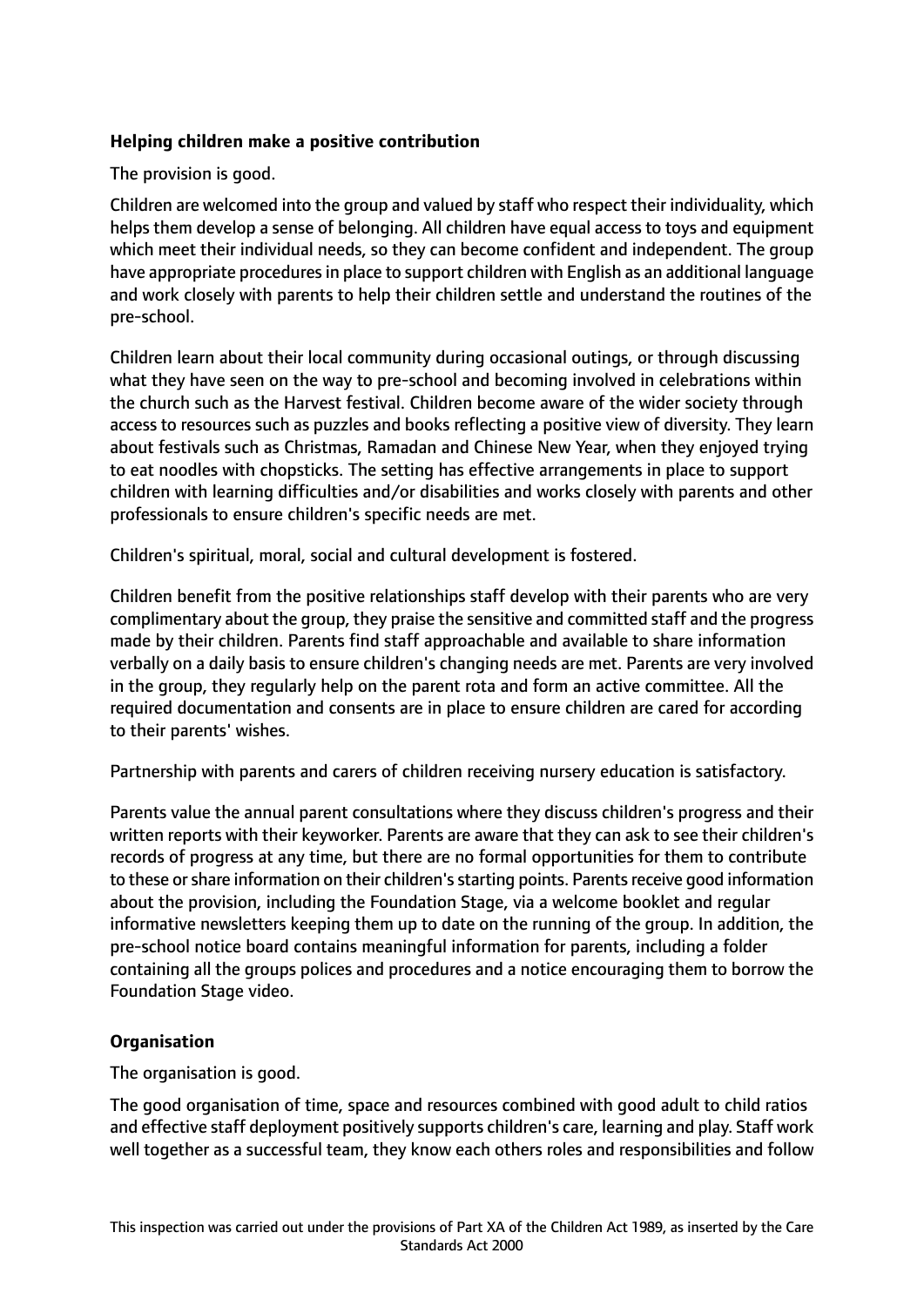# **Helping children make a positive contribution**

The provision is good.

Children are welcomed into the group and valued by staff who respect their individuality, which helps them develop a sense of belonging. All children have equal access to toys and equipment which meet their individual needs, so they can become confident and independent. The group have appropriate procedures in place to support children with English as an additional language and work closely with parents to help their children settle and understand the routines of the pre-school.

Children learn about their local community during occasional outings, or through discussing what they have seen on the way to pre-school and becoming involved in celebrations within the church such as the Harvest festival. Children become aware of the wider society through access to resources such as puzzles and books reflecting a positive view of diversity. They learn about festivals such as Christmas, Ramadan and Chinese New Year, when they enjoyed trying to eat noodles with chopsticks. The setting has effective arrangements in place to support children with learning difficulties and/or disabilities and works closely with parents and other professionals to ensure children's specific needs are met.

Children's spiritual, moral, social and cultural development is fostered.

Children benefit from the positive relationships staff develop with their parents who are very complimentary about the group, they praise the sensitive and committed staff and the progress made by their children. Parents find staff approachable and available to share information verbally on a daily basis to ensure children's changing needs are met. Parents are very involved in the group, they regularly help on the parent rota and form an active committee. All the required documentation and consents are in place to ensure children are cared for according to their parents' wishes.

Partnership with parents and carers of children receiving nursery education is satisfactory.

Parents value the annual parent consultations where they discuss children's progress and their written reports with their keyworker. Parents are aware that they can ask to see their children's records of progress at any time, but there are no formal opportunities for them to contribute to these or share information on their children's starting points. Parents receive good information about the provision, including the Foundation Stage, via a welcome booklet and regular informative newsletters keeping them up to date on the running of the group. In addition, the pre-school notice board contains meaningful information for parents, including a folder containing all the groups polices and procedures and a notice encouraging them to borrow the Foundation Stage video.

# **Organisation**

The organisation is good.

The good organisation of time, space and resources combined with good adult to child ratios and effective staff deployment positively supports children's care, learning and play. Staff work well together as a successful team, they know each others roles and responsibilities and follow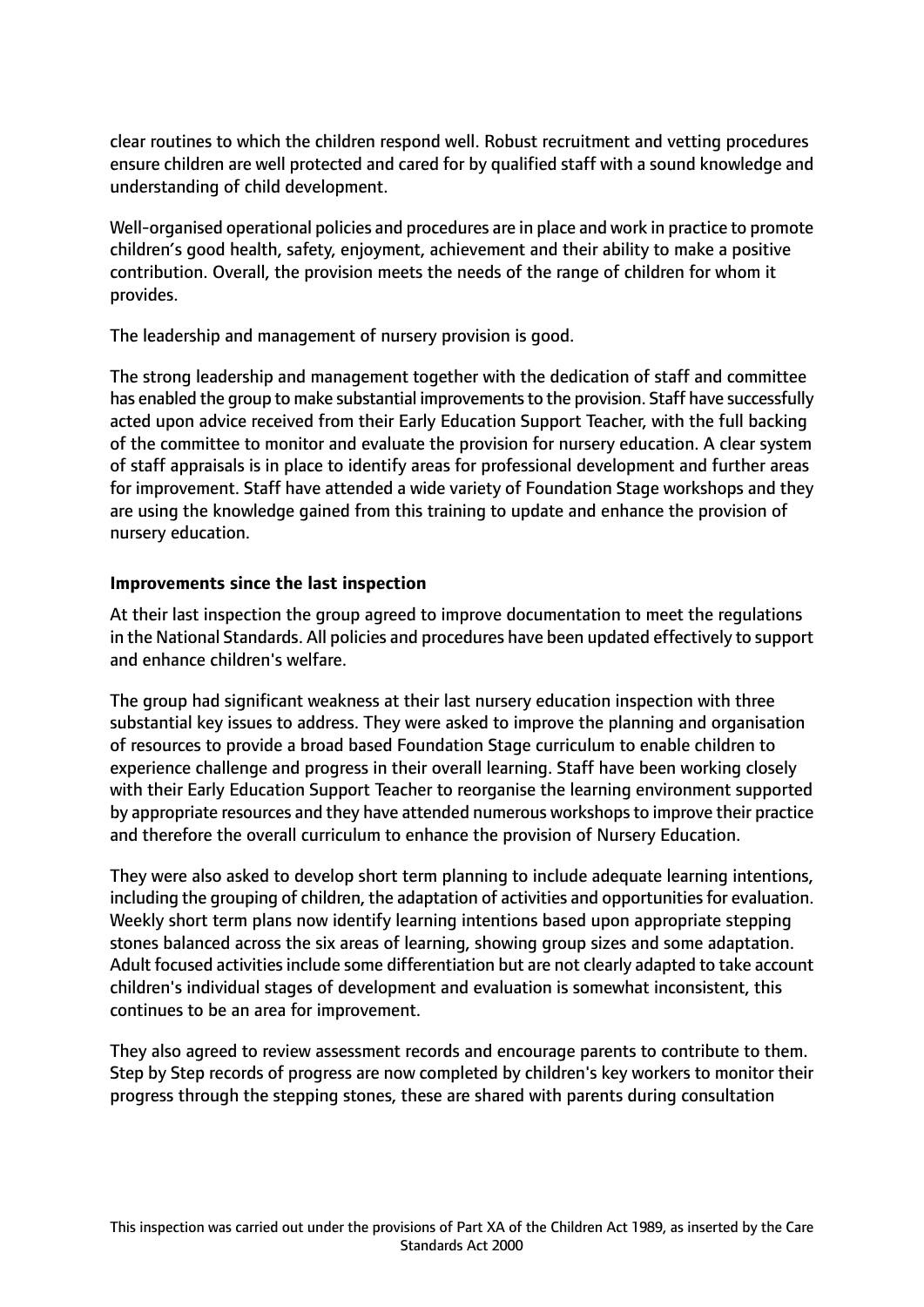clear routines to which the children respond well. Robust recruitment and vetting procedures ensure children are well protected and cared for by qualified staff with a sound knowledge and understanding of child development.

Well-organised operational policies and procedures are in place and work in practice to promote children's good health, safety, enjoyment, achievement and their ability to make a positive contribution. Overall, the provision meets the needs of the range of children for whom it provides.

The leadership and management of nursery provision is good.

The strong leadership and management together with the dedication of staff and committee has enabled the group to make substantial improvements to the provision. Staff have successfully acted upon advice received from their Early Education Support Teacher, with the full backing of the committee to monitor and evaluate the provision for nursery education. A clear system of staff appraisals is in place to identify areas for professional development and further areas for improvement. Staff have attended a wide variety of Foundation Stage workshops and they are using the knowledge gained from this training to update and enhance the provision of nursery education.

# **Improvements since the last inspection**

At their last inspection the group agreed to improve documentation to meet the regulations in the National Standards. All policies and procedures have been updated effectively to support and enhance children's welfare.

The group had significant weakness at their last nursery education inspection with three substantial key issues to address. They were asked to improve the planning and organisation of resources to provide a broad based Foundation Stage curriculum to enable children to experience challenge and progress in their overall learning. Staff have been working closely with their Early Education Support Teacher to reorganise the learning environment supported by appropriate resources and they have attended numerous workshops to improve their practice and therefore the overall curriculum to enhance the provision of Nursery Education.

They were also asked to develop short term planning to include adequate learning intentions, including the grouping of children, the adaptation of activities and opportunities for evaluation. Weekly short term plans now identify learning intentions based upon appropriate stepping stones balanced across the six areas of learning, showing group sizes and some adaptation. Adult focused activities include some differentiation but are not clearly adapted to take account children's individual stages of development and evaluation is somewhat inconsistent, this continues to be an area for improvement.

They also agreed to review assessment records and encourage parents to contribute to them. Step by Step records of progress are now completed by children's key workers to monitor their progress through the stepping stones, these are shared with parents during consultation